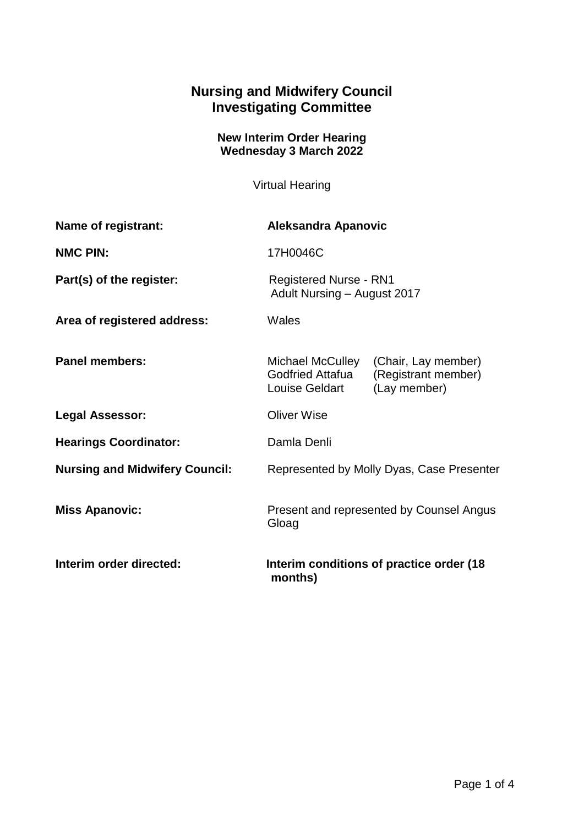## **Nursing and Midwifery Council Investigating Committee**

## **New Interim Order Hearing Wednesday 3 March 2022**

Virtual Hearing

| Name of registrant:                   | <b>Aleksandra Apanovic</b>                                   |                                                            |
|---------------------------------------|--------------------------------------------------------------|------------------------------------------------------------|
| <b>NMC PIN:</b>                       | 17H0046C                                                     |                                                            |
| Part(s) of the register:              | <b>Registered Nurse - RN1</b><br>Adult Nursing - August 2017 |                                                            |
| Area of registered address:           | Wales                                                        |                                                            |
| <b>Panel members:</b>                 | Michael McCulley<br>Godfried Attafua<br>Louise Geldart       | (Chair, Lay member)<br>(Registrant member)<br>(Lay member) |
| <b>Legal Assessor:</b>                | <b>Oliver Wise</b>                                           |                                                            |
| <b>Hearings Coordinator:</b>          | Damla Denli                                                  |                                                            |
| <b>Nursing and Midwifery Council:</b> | Represented by Molly Dyas, Case Presenter                    |                                                            |
| <b>Miss Apanovic:</b>                 | Present and represented by Counsel Angus<br>Gloag            |                                                            |
| Interim order directed:               | Interim conditions of practice order (18)<br>months)         |                                                            |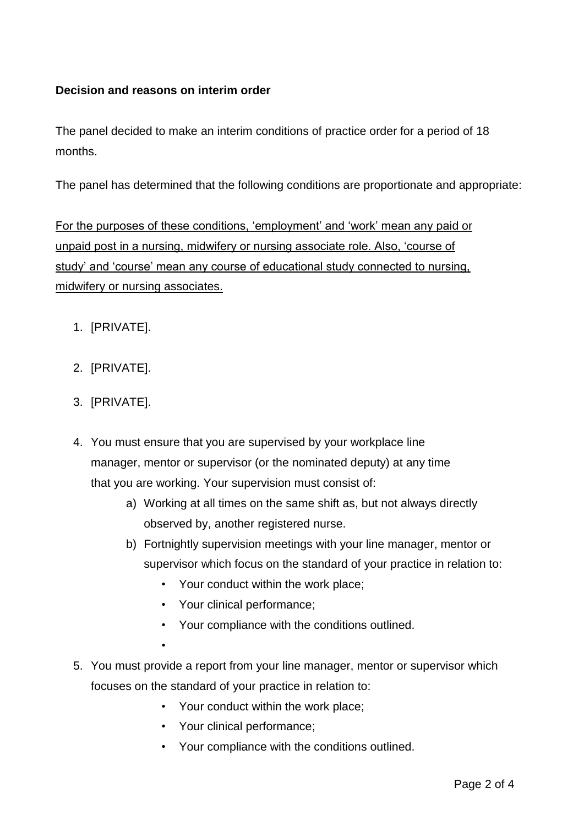## **Decision and reasons on interim order**

The panel decided to make an interim conditions of practice order for a period of 18 months.

The panel has determined that the following conditions are proportionate and appropriate:

For the purposes of these conditions, 'employment' and 'work' mean any paid or unpaid post in a nursing, midwifery or nursing associate role. Also, 'course of study' and 'course' mean any course of educational study connected to nursing, midwifery or nursing associates.

- 1. [PRIVATE].
- 2. [PRIVATE].
- 3. [PRIVATE].
- 4. You must ensure that you are supervised by your workplace line manager, mentor or supervisor (or the nominated deputy) at any time that you are working. Your supervision must consist of:
	- a) Working at all times on the same shift as, but not always directly observed by, another registered nurse.
	- b) Fortnightly supervision meetings with your line manager, mentor or supervisor which focus on the standard of your practice in relation to:
		- Your conduct within the work place;
		- Your clinical performance;

•

- Your compliance with the conditions outlined.
- 5. You must provide a report from your line manager, mentor or supervisor which focuses on the standard of your practice in relation to:
	- Your conduct within the work place;
	- Your clinical performance;
	- Your compliance with the conditions outlined.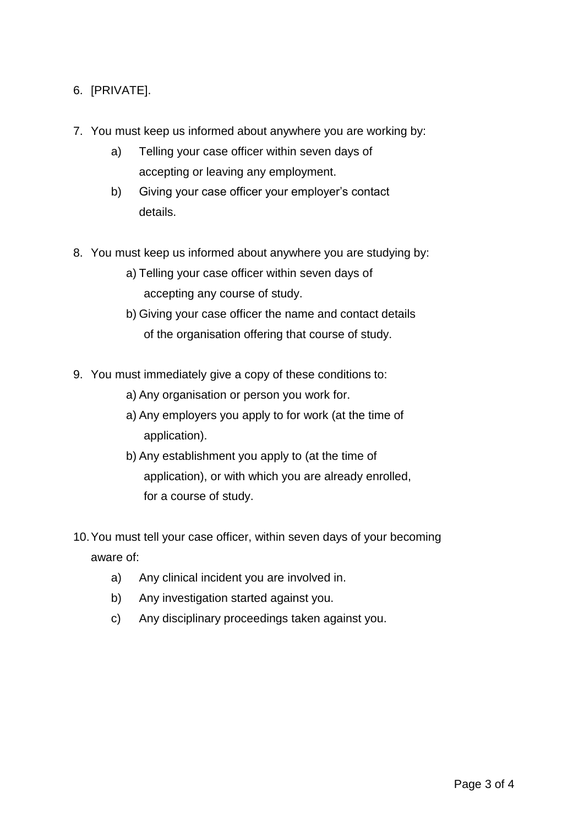- 6. [PRIVATE].
- 7. You must keep us informed about anywhere you are working by:
	- a) Telling your case officer within seven days of accepting or leaving any employment.
	- b) Giving your case officer your employer's contact details.
- 8. You must keep us informed about anywhere you are studying by:
	- a) Telling your case officer within seven days of accepting any course of study.
	- b) Giving your case officer the name and contact details of the organisation offering that course of study.
- 9. You must immediately give a copy of these conditions to:
	- a) Any organisation or person you work for.
	- a) Any employers you apply to for work (at the time of application).
	- b) Any establishment you apply to (at the time of application), or with which you are already enrolled, for a course of study.
- 10.You must tell your case officer, within seven days of your becoming aware of:
	- a) Any clinical incident you are involved in.
	- b) Any investigation started against you.
	- c) Any disciplinary proceedings taken against you.